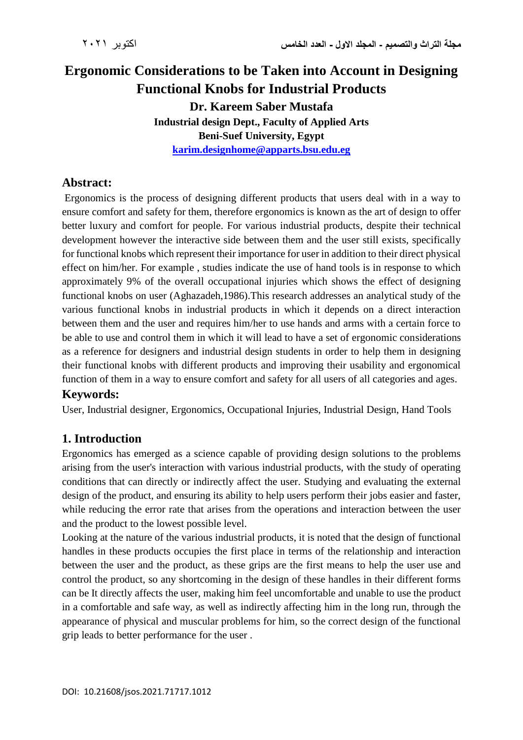# **Ergonomic Considerations to be Taken into Account in Designing Functional Knobs for Industrial Products Dr. Kareem Saber Mustafa Industrial design Dept., Faculty of Applied Arts Beni-Suef University, Egypt [karim.designhome@apparts.bsu.edu.eg](mailto:karim.designhome@apparts.bsu.edu.eg)**

#### **Abstract:**

Ergonomics is the process of designing different products that users deal with in a way to ensure comfort and safety for them, therefore ergonomics is known as the art of design to offer better luxury and comfort for people. For various industrial products, despite their technical development however the interactive side between them and the user still exists, specifically for functional knobs which represent their importance for user in addition to their direct physical effect on him/her. For example , studies indicate the use of hand tools is in response to which approximately 9% of the overall occupational injuries which shows the effect of designing functional knobs on user (Aghazadeh,1986).This research addresses an analytical study of the various functional knobs in industrial products in which it depends on a direct interaction between them and the user and requires him/her to use hands and arms with a certain force to be able to use and control them in which it will lead to have a set of ergonomic considerations as a reference for designers and industrial design students in order to help them in designing their functional knobs with different products and improving their usability and ergonomical function of them in a way to ensure comfort and safety for all users of all categories and ages.

#### **Keywords:**

User, Industrial designer, Ergonomics, Occupational Injuries, Industrial Design, Hand Tools

#### **1. Introduction**

Ergonomics has emerged as a science capable of providing design solutions to the problems arising from the user's interaction with various industrial products, with the study of operating conditions that can directly or indirectly affect the user. Studying and evaluating the external design of the product, and ensuring its ability to help users perform their jobs easier and faster, while reducing the error rate that arises from the operations and interaction between the user and the product to the lowest possible level.

Looking at the nature of the various industrial products, it is noted that the design of functional handles in these products occupies the first place in terms of the relationship and interaction between the user and the product, as these grips are the first means to help the user use and control the product, so any shortcoming in the design of these handles in their different forms can be It directly affects the user, making him feel uncomfortable and unable to use the product in a comfortable and safe way, as well as indirectly affecting him in the long run, through the appearance of physical and muscular problems for him, so the correct design of the functional grip leads to better performance for the user .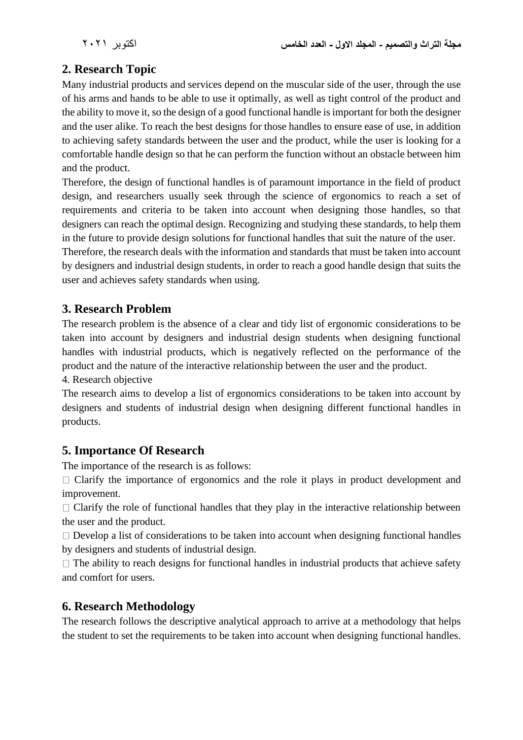## **2. Research Topic**

Many industrial products and services depend on the muscular side of the user, through the use of his arms and hands to be able to use it optimally, as well as tight control of the product and the ability to move it, so the design of a good functional handle is important for both the designer and the user alike. To reach the best designs for those handles to ensure ease of use, in addition to achieving safety standards between the user and the product, while the user is looking for a comfortable handle design so that he can perform the function without an obstacle between him and the product.

Therefore, the design of functional handles is of paramount importance in the field of product design, and researchers usually seek through the science of ergonomics to reach a set of requirements and criteria to be taken into account when designing those handles, so that designers can reach the optimal design. Recognizing and studying these standards, to help them in the future to provide design solutions for functional handles that suit the nature of the user.

Therefore, the research deals with the information and standards that must be taken into account by designers and industrial design students, in order to reach a good handle design that suits the user and achieves safety standards when using.

### **3. Research Problem**

The research problem is the absence of a clear and tidy list of ergonomic considerations to be taken into account by designers and industrial design students when designing functional handles with industrial products, which is negatively reflected on the performance of the product and the nature of the interactive relationship between the user and the product.

4. Research objective

The research aims to develop a list of ergonomics considerations to be taken into account by designers and students of industrial design when designing different functional handles in products.

#### **5. Importance Of Research**

The importance of the research is as follows:

 $\Box$  Clarify the importance of ergonomics and the role it plays in product development and improvement.

 $\Box$  Clarify the role of functional handles that they play in the interactive relationship between the user and the product.

 $\Box$  Develop a list of considerations to be taken into account when designing functional handles by designers and students of industrial design.

 $\Box$  The ability to reach designs for functional handles in industrial products that achieve safety and comfort for users.

## **6. Research Methodology**

The research follows the descriptive analytical approach to arrive at a methodology that helps the student to set the requirements to be taken into account when designing functional handles.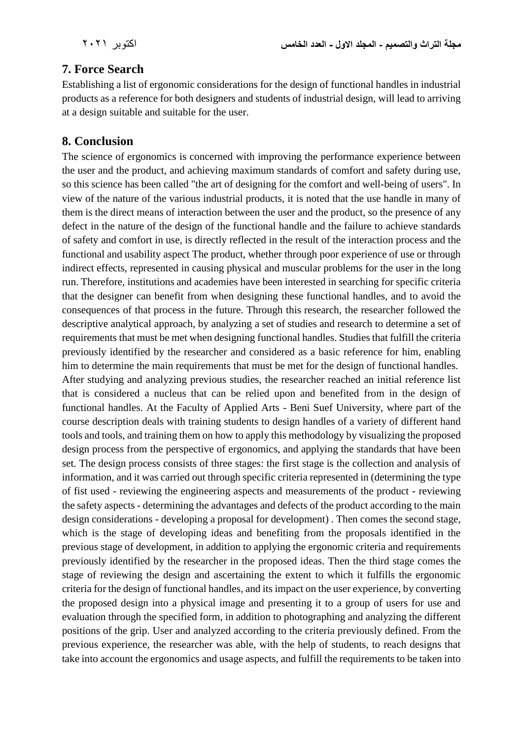## **7. Force Search**

Establishing a list of ergonomic considerations for the design of functional handles in industrial products as a reference for both designers and students of industrial design, will lead to arriving at a design suitable and suitable for the user.

### **8. Conclusion**

The science of ergonomics is concerned with improving the performance experience between the user and the product, and achieving maximum standards of comfort and safety during use, so this science has been called "the art of designing for the comfort and well-being of users". In view of the nature of the various industrial products, it is noted that the use handle in many of them is the direct means of interaction between the user and the product, so the presence of any defect in the nature of the design of the functional handle and the failure to achieve standards of safety and comfort in use, is directly reflected in the result of the interaction process and the functional and usability aspect The product, whether through poor experience of use or through indirect effects, represented in causing physical and muscular problems for the user in the long run. Therefore, institutions and academies have been interested in searching for specific criteria that the designer can benefit from when designing these functional handles, and to avoid the consequences of that process in the future. Through this research, the researcher followed the descriptive analytical approach, by analyzing a set of studies and research to determine a set of requirements that must be met when designing functional handles. Studies that fulfill the criteria previously identified by the researcher and considered as a basic reference for him, enabling him to determine the main requirements that must be met for the design of functional handles.

After studying and analyzing previous studies, the researcher reached an initial reference list that is considered a nucleus that can be relied upon and benefited from in the design of functional handles. At the Faculty of Applied Arts - Beni Suef University, where part of the course description deals with training students to design handles of a variety of different hand tools and tools, and training them on how to apply this methodology by visualizing the proposed design process from the perspective of ergonomics, and applying the standards that have been set. The design process consists of three stages: the first stage is the collection and analysis of information, and it was carried out through specific criteria represented in (determining the type of fist used - reviewing the engineering aspects and measurements of the product - reviewing the safety aspects - determining the advantages and defects of the product according to the main design considerations - developing a proposal for development) . Then comes the second stage, which is the stage of developing ideas and benefiting from the proposals identified in the previous stage of development, in addition to applying the ergonomic criteria and requirements previously identified by the researcher in the proposed ideas. Then the third stage comes the stage of reviewing the design and ascertaining the extent to which it fulfills the ergonomic criteria for the design of functional handles, and its impact on the user experience, by converting the proposed design into a physical image and presenting it to a group of users for use and evaluation through the specified form, in addition to photographing and analyzing the different positions of the grip. User and analyzed according to the criteria previously defined. From the previous experience, the researcher was able, with the help of students, to reach designs that take into account the ergonomics and usage aspects, and fulfill the requirements to be taken into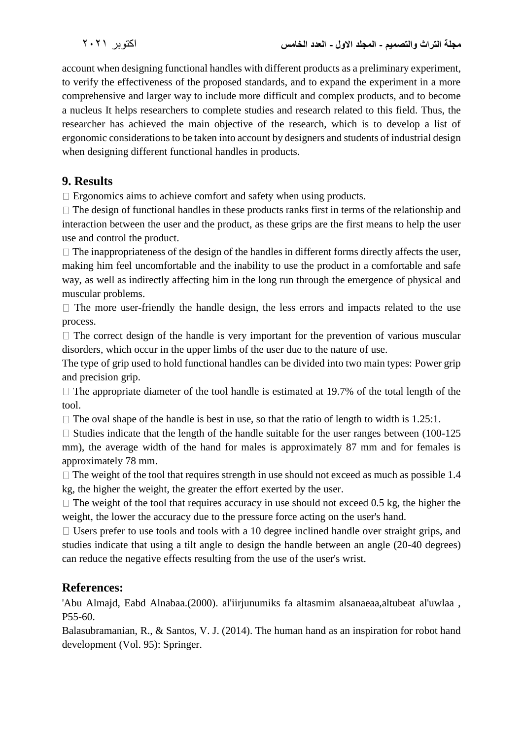account when designing functional handles with different products as a preliminary experiment, to verify the effectiveness of the proposed standards, and to expand the experiment in a more comprehensive and larger way to include more difficult and complex products, and to become a nucleus It helps researchers to complete studies and research related to this field. Thus, the researcher has achieved the main objective of the research, which is to develop a list of ergonomic considerations to be taken into account by designers and students of industrial design when designing different functional handles in products.

### **9. Results**

 $\Box$  Ergonomics aims to achieve comfort and safety when using products.

 $\Box$  The design of functional handles in these products ranks first in terms of the relationship and interaction between the user and the product, as these grips are the first means to help the user use and control the product.

 $\Box$  The inappropriateness of the design of the handles in different forms directly affects the user, making him feel uncomfortable and the inability to use the product in a comfortable and safe way, as well as indirectly affecting him in the long run through the emergence of physical and muscular problems.

 $\Box$  The more user-friendly the handle design, the less errors and impacts related to the use process.

 $\Box$  The correct design of the handle is very important for the prevention of various muscular disorders, which occur in the upper limbs of the user due to the nature of use.

The type of grip used to hold functional handles can be divided into two main types: Power grip and precision grip.

 $\Box$  The appropriate diameter of the tool handle is estimated at 19.7% of the total length of the tool.

 $\Box$  The oval shape of the handle is best in use, so that the ratio of length to width is 1.25:1.

 $\Box$  Studies indicate that the length of the handle suitable for the user ranges between (100-125) mm), the average width of the hand for males is approximately 87 mm and for females is approximately 78 mm.

 $\Box$  The weight of the tool that requires strength in use should not exceed as much as possible 1.4 kg, the higher the weight, the greater the effort exerted by the user.

 $\Box$  The weight of the tool that requires accuracy in use should not exceed 0.5 kg, the higher the weight, the lower the accuracy due to the pressure force acting on the user's hand.

 $\Box$  Users prefer to use tools and tools with a 10 degree inclined handle over straight grips, and studies indicate that using a tilt angle to design the handle between an angle (20-40 degrees) can reduce the negative effects resulting from the use of the user's wrist.

#### **References:**

'Abu Almajd, Eabd Alnabaa.(2000). al'iirjunumiks fa altasmim alsanaeaa,altubeat al'uwlaa , P55-60.

Balasubramanian, R., & Santos, V. J. (2014). The human hand as an inspiration for robot hand development (Vol. 95): Springer.